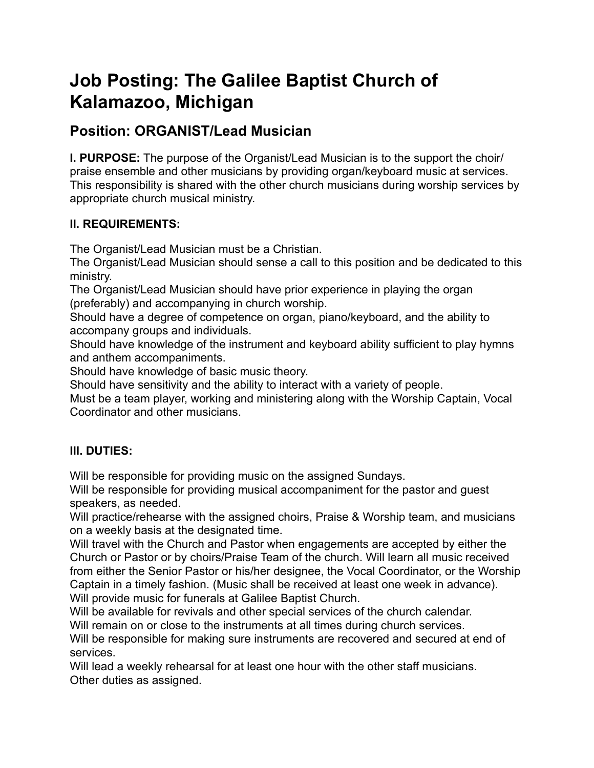# **Job Posting: The Galilee Baptist Church of Kalamazoo, Michigan**

# **Position: ORGANIST/Lead Musician**

**I. PURPOSE:** The purpose of the Organist/Lead Musician is to the support the choir/ praise ensemble and other musicians by providing organ/keyboard music at services. This responsibility is shared with the other church musicians during worship services by appropriate church musical ministry.

# **II. REQUIREMENTS:**

The Organist/Lead Musician must be a Christian.

The Organist/Lead Musician should sense a call to this position and be dedicated to this ministry.

The Organist/Lead Musician should have prior experience in playing the organ (preferably) and accompanying in church worship.

Should have a degree of competence on organ, piano/keyboard, and the ability to accompany groups and individuals.

Should have knowledge of the instrument and keyboard ability sufficient to play hymns and anthem accompaniments.

Should have knowledge of basic music theory.

Should have sensitivity and the ability to interact with a variety of people.

Must be a team player, working and ministering along with the Worship Captain, Vocal Coordinator and other musicians.

# **III. DUTIES:**

Will be responsible for providing music on the assigned Sundays.

Will be responsible for providing musical accompaniment for the pastor and guest speakers, as needed.

Will practice/rehearse with the assigned choirs, Praise & Worship team, and musicians on a weekly basis at the designated time.

Will travel with the Church and Pastor when engagements are accepted by either the Church or Pastor or by choirs/Praise Team of the church. Will learn all music received from either the Senior Pastor or his/her designee, the Vocal Coordinator, or the Worship Captain in a timely fashion. (Music shall be received at least one week in advance). Will provide music for funerals at Galilee Baptist Church.

Will be available for revivals and other special services of the church calendar. Will remain on or close to the instruments at all times during church services.

Will be responsible for making sure instruments are recovered and secured at end of services.

Will lead a weekly rehearsal for at least one hour with the other staff musicians. Other duties as assigned.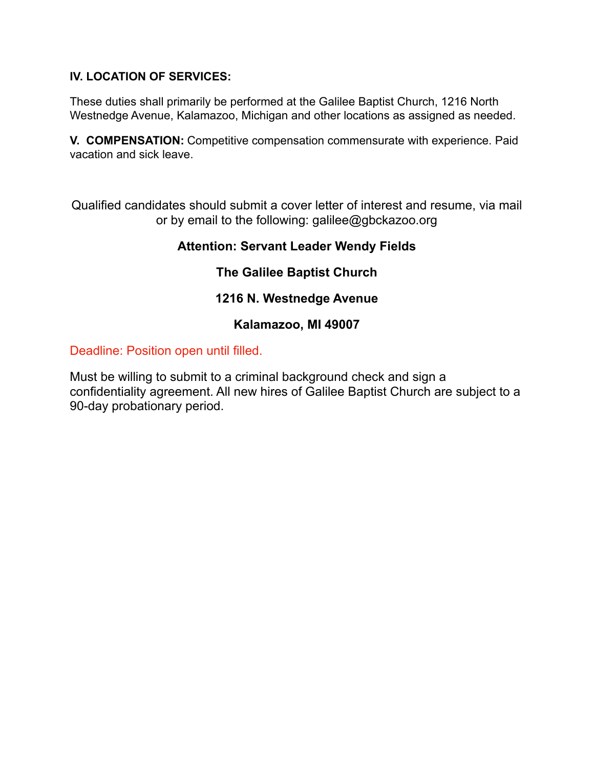### **IV. LOCATION OF SERVICES:**

These duties shall primarily be performed at the Galilee Baptist Church, 1216 North Westnedge Avenue, Kalamazoo, Michigan and other locations as assigned as needed.

**V. COMPENSATION:** Competitive compensation commensurate with experience. Paid vacation and sick leave.

Qualified candidates should submit a cover letter of interest and resume, via mail or by email to the following: galilee@gbckazoo.org

# **Attention: Servant Leader Wendy Fields**

# **The Galilee Baptist Church**

# **1216 N. Westnedge Avenue**

## **Kalamazoo, MI 49007**

### Deadline: Position open until filled.

Must be willing to submit to a criminal background check and sign a confidentiality agreement. All new hires of Galilee Baptist Church are subject to a 90-day probationary period.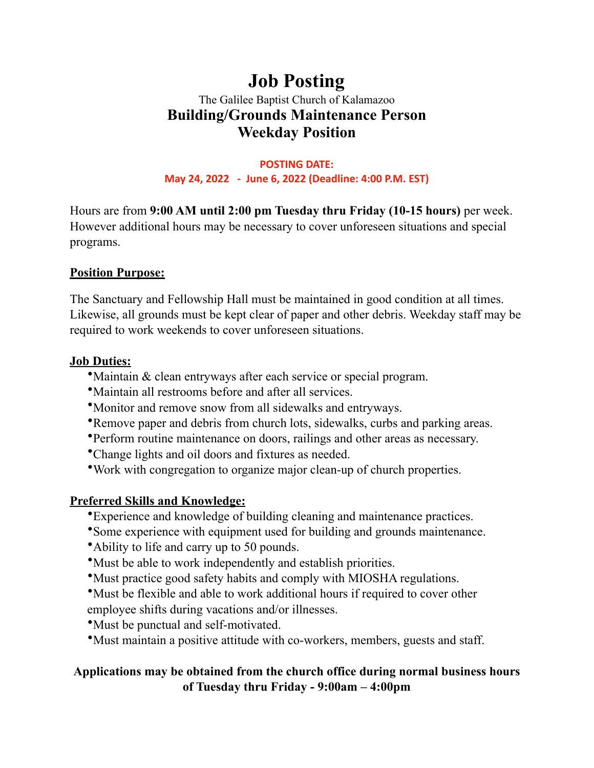# **Job Posting**  The Galilee Baptist Church of Kalamazoo **Building/Grounds Maintenance Person Weekday Position**

**POSTING DATE: May 24, 2022 - June 6, 2022 (Deadline: 4:00 P.M. EST)**

Hours are from **9:00 AM until 2:00 pm Tuesday thru Friday (10-15 hours)** per week. However additional hours may be necessary to cover unforeseen situations and special programs.

# **Position Purpose:**

The Sanctuary and Fellowship Hall must be maintained in good condition at all times. Likewise, all grounds must be kept clear of paper and other debris. Weekday staff may be required to work weekends to cover unforeseen situations.

## **Job Duties:**

- •Maintain & clean entryways after each service or special program.
- •Maintain all restrooms before and after all services.
- •Monitor and remove snow from all sidewalks and entryways.
- •Remove paper and debris from church lots, sidewalks, curbs and parking areas.
- •Perform routine maintenance on doors, railings and other areas as necessary.
- •Change lights and oil doors and fixtures as needed.
- •Work with congregation to organize major clean-up of church properties.

# **Preferred Skills and Knowledge:**

- •Experience and knowledge of building cleaning and maintenance practices.
- •Some experience with equipment used for building and grounds maintenance.
- •Ability to life and carry up to 50 pounds.
- •Must be able to work independently and establish priorities.
- •Must practice good safety habits and comply with MIOSHA regulations.
- •Must be flexible and able to work additional hours if required to cover other employee shifts during vacations and/or illnesses.
- •Must be punctual and self-motivated.
- •Must maintain a positive attitude with co-workers, members, guests and staff.

# **Applications may be obtained from the church office during normal business hours of Tuesday thru Friday - 9:00am – 4:00pm**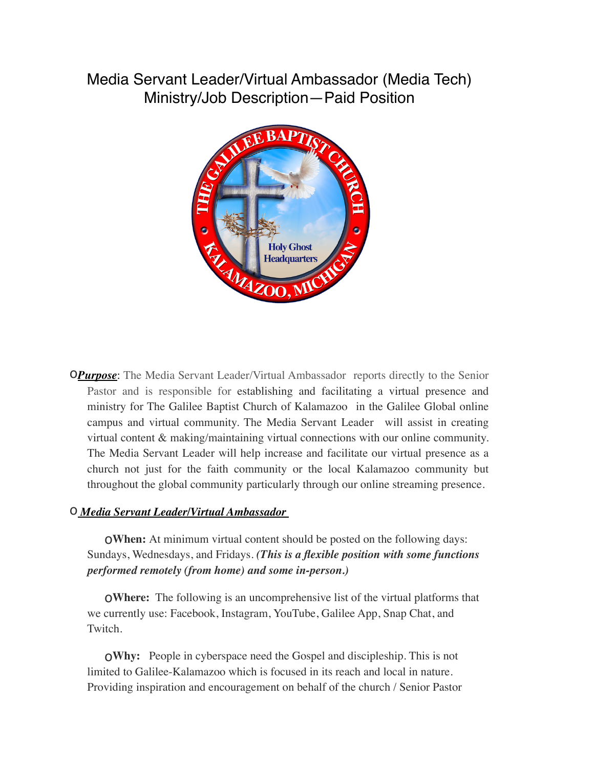# Media Servant Leader/Virtual Ambassador (Media Tech) Ministry/Job Description—Paid Position



**OPurpose**: The Media Servant Leader/Virtual Ambassador reports directly to the Senior Pastor and is responsible for establishing and facilitating a virtual presence and ministry for The Galilee Baptist Church of Kalamazoo in the Galilee Global online campus and virtual community. The Media Servant Leader will assist in creating virtual content & making/maintaining virtual connections with our online community. The Media Servant Leader will help increase and facilitate our virtual presence as a church not just for the faith community or the local Kalamazoo community but throughout the global community particularly through our online streaming presence.

#### o *Media Servant Leader/Virtual Ambassador*

o**When:** At minimum virtual content should be posted on the following days: Sundays, Wednesdays, and Fridays. *(This is a flexible position with some functions performed remotely (from home) and some in-person.)*

o**Where:** The following is an uncomprehensive list of the virtual platforms that we currently use: Facebook, Instagram, YouTube, Galilee App, Snap Chat, and Twitch.

o**Why:** People in cyberspace need the Gospel and discipleship. This is not limited to Galilee-Kalamazoo which is focused in its reach and local in nature. Providing inspiration and encouragement on behalf of the church / Senior Pastor